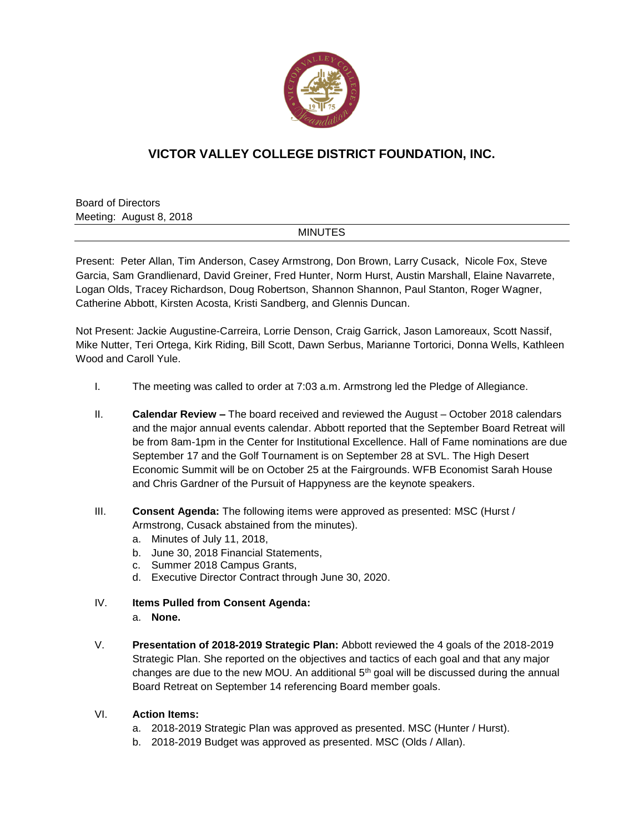

# **VICTOR VALLEY COLLEGE DISTRICT FOUNDATION, INC.**

Board of Directors Meeting: August 8, 2018

#### MINUTES

Present: Peter Allan, Tim Anderson, Casey Armstrong, Don Brown, Larry Cusack, Nicole Fox, Steve Garcia, Sam Grandlienard, David Greiner, Fred Hunter, Norm Hurst, Austin Marshall, Elaine Navarrete, Logan Olds, Tracey Richardson, Doug Robertson, Shannon Shannon, Paul Stanton, Roger Wagner, Catherine Abbott, Kirsten Acosta, Kristi Sandberg, and Glennis Duncan.

Not Present: Jackie Augustine-Carreira, Lorrie Denson, Craig Garrick, Jason Lamoreaux, Scott Nassif, Mike Nutter, Teri Ortega, Kirk Riding, Bill Scott, Dawn Serbus, Marianne Tortorici, Donna Wells, Kathleen Wood and Caroll Yule.

- I. The meeting was called to order at 7:03 a.m. Armstrong led the Pledge of Allegiance.
- II. **Calendar Review –** The board received and reviewed the August October 2018 calendars and the major annual events calendar. Abbott reported that the September Board Retreat will be from 8am-1pm in the Center for Institutional Excellence. Hall of Fame nominations are due September 17 and the Golf Tournament is on September 28 at SVL. The High Desert Economic Summit will be on October 25 at the Fairgrounds. WFB Economist Sarah House and Chris Gardner of the Pursuit of Happyness are the keynote speakers.
- III. **Consent Agenda:** The following items were approved as presented: MSC (Hurst / Armstrong, Cusack abstained from the minutes).
	- a. Minutes of July 11, 2018,
	- b. June 30, 2018 Financial Statements,
	- c. Summer 2018 Campus Grants,
	- d. Executive Director Contract through June 30, 2020.
- IV. **Items Pulled from Consent Agenda:**
	- a. **None.**
- V. **Presentation of 2018-2019 Strategic Plan:** Abbott reviewed the 4 goals of the 2018-2019 Strategic Plan. She reported on the objectives and tactics of each goal and that any major changes are due to the new MOU. An additional  $5<sup>th</sup>$  goal will be discussed during the annual Board Retreat on September 14 referencing Board member goals.

### VI. **Action Items:**

- a. 2018-2019 Strategic Plan was approved as presented. MSC (Hunter / Hurst).
- b. 2018-2019 Budget was approved as presented. MSC (Olds / Allan).